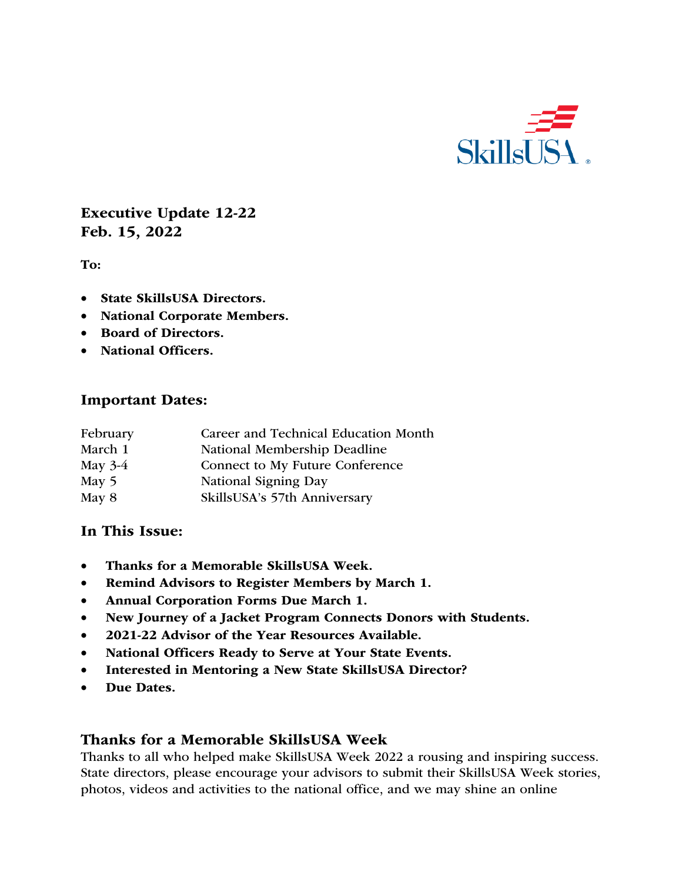

Executive Update 12-22 Feb. 15, 2022

To:

- State SkillsUSA Directors.
- National Corporate Members.
- Board of Directors.
- National Officers.

#### Important Dates:

| February  | Career and Technical Education Month |
|-----------|--------------------------------------|
| March 1   | National Membership Deadline         |
| May $3-4$ | Connect to My Future Conference      |
| May $5$   | National Signing Day                 |
| May 8     | SkillsUSA's 57th Anniversary         |

#### In This Issue:

- Thanks for a Memorable SkillsUSA Week.
- Remind Advisors to Register Members by March 1.
- Annual Corporation Forms Due March 1.
- New Journey of a Jacket Program Connects Donors with Students.
- 2021-22 Advisor of the Year Resources Available.
- National Officers Ready to Serve at Your State Events.
- Interested in Mentoring a New State SkillsUSA Director?
- Due Dates.

#### Thanks for a Memorable SkillsUSA Week

Thanks to all who helped make SkillsUSA Week 2022 a rousing and inspiring success. State directors, please encourage your advisors to submit their SkillsUSA Week stories, photos, videos and activities to the national office, and we may shine an online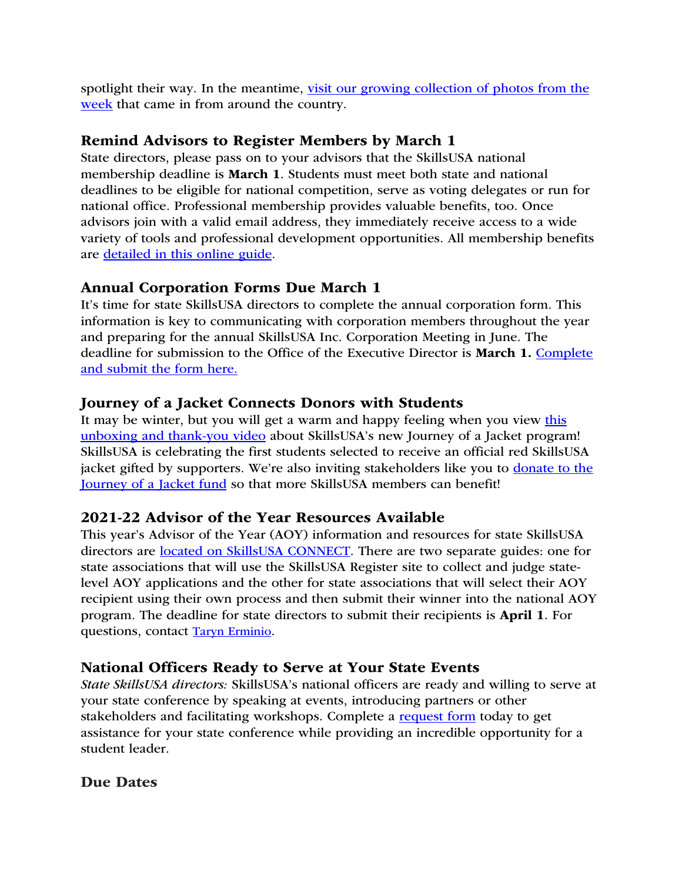spotlight their way. In the meantime, visit our growing collection of photos from the week that came in from around the country.

### Remind Advisors to Register Members by March 1

State directors, please pass on to your advisors that the SkillsUSA national membership deadline is March 1. Students must meet both state and national deadlines to be eligible for national competition, serve as voting delegates or run for national office. Professional membership provides valuable benefits, too. Once advisors join with a valid email address, they immediately receive access to a wide variety of tools and professional development opportunities. All membership benefits are detailed in this online guide.

### Annual Corporation Forms Due March 1

It's time for state SkillsUSA directors to complete the annual corporation form. This information is key to communicating with corporation members throughout the year and preparing for the annual SkillsUSA Inc. Corporation Meeting in June. The deadline for submission to the Office of the Executive Director is March 1. Complete and submit the form here.

### Journey of a Jacket Connects Donors with Students

It may be winter, but you will get a warm and happy feeling when you view this unboxing and thank-you video about SkillsUSA's new Journey of a Jacket program! SkillsUSA is celebrating the first students selected to receive an official red SkillsUSA jacket gifted by supporters. We're also inviting stakeholders like you to donate to the Journey of a Jacket fund so that more SkillsUSA members can benefit!

#### 2021-22 Advisor of the Year Resources Available

This year's Advisor of the Year (AOY) information and resources for state SkillsUSA directors are located on SkillsUSA CONNECT. There are two separate guides: one for state associations that will use the SkillsUSA Register site to collect and judge statelevel AOY applications and the other for state associations that will select their AOY recipient using their own process and then submit their winner into the national AOY program. The deadline for state directors to submit their recipients is April 1. For questions, contact Taryn Erminio.

### National Officers Ready to Serve at Your State Events

*State SkillsUSA directors:* SkillsUSA's national officers are ready and willing to serve at your state conference by speaking at events, introducing partners or other stakeholders and facilitating workshops. Complete a request form today to get assistance for your state conference while providing an incredible opportunity for a student leader.

### Due Dates